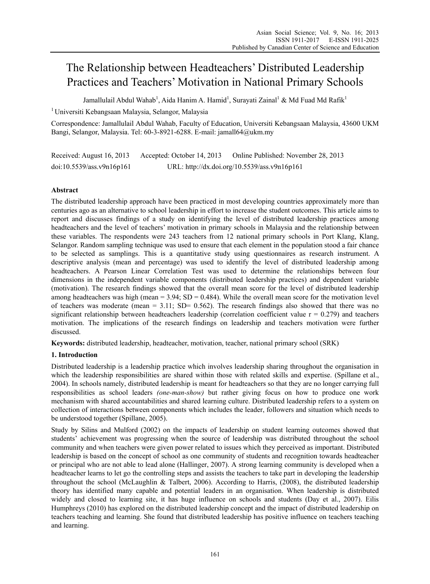# The Relationship between Headteachers' Distributed Leadership Practices and Teachers' Motivation in National Primary Schools

Jamallulail Abdul Wahab<sup>1</sup>, Aida Hanim A. Hamid<sup>1</sup>, Surayati Zainal<sup>1</sup> & Md Fuad Md Rafik<sup>1</sup>

1 Universiti Kebangsaan Malaysia, Selangor, Malaysia

Correspondence: Jamallulail Abdul Wahab, Faculty of Education, Universiti Kebangsaan Malaysia, 43600 UKM Bangi, Selangor, Malaysia. Tel: 60-3-8921-6288. E-mail: jamall64@ukm.my

Received: August 16, 2013 Accepted: October 14, 2013 Online Published: November 28, 2013 doi:10.5539/ass.v9n16p161 URL: http://dx.doi.org/10.5539/ass.v9n16p161

# **Abstract**

The distributed leadership approach have been practiced in most developing countries approximately more than centuries ago as an alternative to school leadership in effort to increase the student outcomes. This article aims to report and discusses findings of a study on identifying the level of distributed leadership practices among headteachers and the level of teachers' motivation in primary schools in Malaysia and the relationship between these variables. The respondents were 243 teachers from 12 national primary schools in Port Klang, Klang, Selangor. Random sampling technique was used to ensure that each element in the population stood a fair chance to be selected as samplings. This is a quantitative study using questionnaires as research instrument. A descriptive analysis (mean and percentage) was used to identify the level of distributed leadership among headteachers. A Pearson Linear Correlation Test was used to determine the relationships between four dimensions in the independent variable components (distributed leadership practices) and dependent variable (motivation). The research findings showed that the overall mean score for the level of distributed leadership among headteachers was high (mean  $= 3.94$ ; SD  $= 0.484$ ). While the overall mean score for the motivation level of teachers was moderate (mean  $= 3.11$ ; SD= 0.562). The research findings also showed that there was no significant relationship between headteachers leadership (correlation coefficient value  $r = 0.279$ ) and teachers motivation. The implications of the research findings on leadership and teachers motivation were further discussed.

**Keywords:** distributed leadership, headteacher, motivation, teacher, national primary school (SRK)

## **1. Introduction**

Distributed leadership is a leadership practice which involves leadership sharing throughout the organisation in which the leadership responsibilities are shared within those with related skills and expertise. (Spillane et al., 2004). In schools namely, distributed leadership is meant for headteachers so that they are no longer carrying full responsibilities as school leaders *(one-man-show)* but rather giving focus on how to produce one work mechanism with shared accountabilities and shared learning culture. Distributed leadership refers to a system on collection of interactions between components which includes the leader, followers and situation which needs to be understood together (Spillane, 2005).

Study by Silins and Mulford (2002) on the impacts of leadership on student learning outcomes showed that students' achievement was progressing when the source of leadership was distributed throughout the school community and when teachers were given power related to issues which they perceived as important. Distributed leadership is based on the concept of school as one community of students and recognition towards headteacher or principal who are not able to lead alone (Hallinger, 2007). A strong learning community is developed when a headteacher learns to let go the controlling steps and assists the teachers to take part in developing the leadership throughout the school (McLaughlin & Talbert, 2006). According to Harris, (2008), the distributed leadership theory has identified many capable and potential leaders in an organisation. When leadership is distributed widely and closed to learning site, it has huge influence on schools and students (Day et al., 2007). Eilis Humphreys (2010) has explored on the distributed leadership concept and the impact of distributed leadership on teachers teaching and learning. She found that distributed leadership has positive influence on teachers teaching and learning.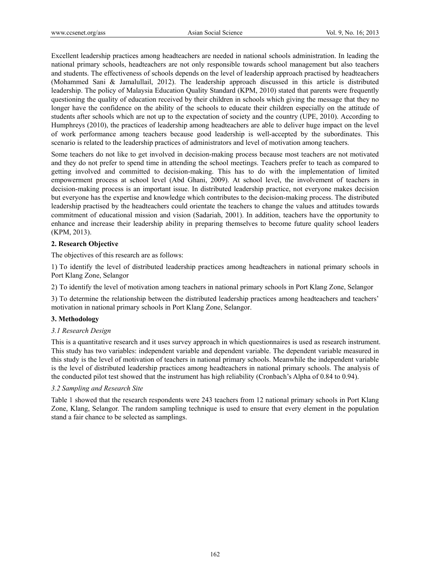Excellent leadership practices among headteachers are needed in national schools administration. In leading the national primary schools, headteachers are not only responsible towards school management but also teachers and students. The effectiveness of schools depends on the level of leadership approach practised by headteachers (Mohammed Sani & Jamalullail, 2012). The leadership approach discussed in this article is distributed leadership. The policy of Malaysia Education Quality Standard (KPM, 2010) stated that parents were frequently questioning the quality of education received by their children in schools which giving the message that they no longer have the confidence on the ability of the schools to educate their children especially on the attitude of students after schools which are not up to the expectation of society and the country (UPE, 2010). According to Humphreys (2010), the practices of leadership among headteachers are able to deliver huge impact on the level of work performance among teachers because good leadership is well-accepted by the subordinates. This scenario is related to the leadership practices of administrators and level of motivation among teachers.

Some teachers do not like to get involved in decision-making process because most teachers are not motivated and they do not prefer to spend time in attending the school meetings. Teachers prefer to teach as compared to getting involved and committed to decision-making. This has to do with the implementation of limited empowerment process at school level (Abd Ghani, 2009). At school level, the involvement of teachers in decision-making process is an important issue. In distributed leadership practice, not everyone makes decision but everyone has the expertise and knowledge which contributes to the decision-making process. The distributed leadership practised by the headteachers could orientate the teachers to change the values and attitudes towards commitment of educational mission and vision (Sadariah, 2001). In addition, teachers have the opportunity to enhance and increase their leadership ability in preparing themselves to become future quality school leaders (KPM, 2013).

## **2. Research Objective**

The objectives of this research are as follows:

1) To identify the level of distributed leadership practices among headteachers in national primary schools in Port Klang Zone, Selangor

2) To identify the level of motivation among teachers in national primary schools in Port Klang Zone, Selangor

3) To determine the relationship between the distributed leadership practices among headteachers and teachers' motivation in national primary schools in Port Klang Zone, Selangor.

#### **3. Methodology**

#### *3.1 Research Design*

This is a quantitative research and it uses survey approach in which questionnaires is used as research instrument. This study has two variables: independent variable and dependent variable. The dependent variable measured in this study is the level of motivation of teachers in national primary schools. Meanwhile the independent variable is the level of distributed leadership practices among headteachers in national primary schools. The analysis of the conducted pilot test showed that the instrument has high reliability (Cronbach's Alpha of 0.84 to 0.94).

#### *3.2 Sampling and Research Site*

Table 1 showed that the research respondents were 243 teachers from 12 national primary schools in Port Klang Zone, Klang, Selangor. The random sampling technique is used to ensure that every element in the population stand a fair chance to be selected as samplings.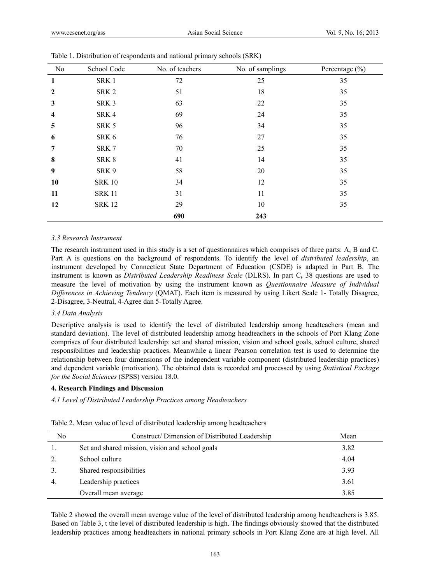| No                      | School Code      | No. of teachers | No. of samplings | Percentage $(\% )$ |
|-------------------------|------------------|-----------------|------------------|--------------------|
| $\mathbf{1}$            | SRK 1            | 72              | 25               | 35                 |
| $\mathbf{2}$            | SRK <sub>2</sub> | 51              | 18               | 35                 |
| 3                       | SRK <sub>3</sub> | 22<br>63        |                  | 35                 |
| $\overline{\mathbf{4}}$ | SRK4             | 69              | 24               | 35                 |
| 5                       | SRK 5            | 96              | 34               | 35                 |
| 6                       | SRK 6            | 76              | 27               | 35                 |
| 7                       | SRK <sub>7</sub> | 70              | 25               | 35                 |
| 8                       | SRK 8            | 41              | 14               | 35                 |
| 9                       | SRK 9            | 58              | 20               | 35                 |
| 10                      | <b>SRK 10</b>    | 34              | 12               | 35                 |
| 11                      | <b>SRK 11</b>    | 31              | 11               | 35                 |
| 12                      | <b>SRK 12</b>    | 29              | 10               | 35                 |
|                         |                  | 690             | 243              |                    |

Table 1. Distribution of respondents and national primary schools (SRK)

#### *3.3 Research Instrument*

The research instrument used in this study is a set of questionnaires which comprises of three parts: A, B and C. Part A is questions on the background of respondents. To identify the level of *distributed leadership*, an instrument developed by Connecticut State Department of Education (CSDE) is adapted in Part B. The instrument is known as *Distributed Leadership Readiness Scale* (DLRS). In part C**,** 38 questions are used to measure the level of motivation by using the instrument known as *Questionnaire Measure of Individual Differences in Achieving Tendency* (QMAT). Each item is measured by using Likert Scale 1- Totally Disagree, 2-Disagree, 3-Neutral, 4-Agree dan 5-Totally Agree.

#### *3.4 Data Analysis*

Descriptive analysis is used to identify the level of distributed leadership among headteachers (mean and standard deviation). The level of distributed leadership among headteachers in the schools of Port Klang Zone comprises of four distributed leadership: set and shared mission, vision and school goals, school culture, shared responsibilities and leadership practices. Meanwhile a linear Pearson correlation test is used to determine the relationship between four dimensions of the independent variable component (distributed leadership practices) and dependent variable (motivation). The obtained data is recorded and processed by using *Statistical Package for the Social Sciences* (SPSS) version 18.0.

#### **4. Research Findings and Discussion**

*4.1 Level of Distributed Leadership Practices among Headteachers* 

|  |  | Table 2. Mean value of level of distributed leadership among headteachers |
|--|--|---------------------------------------------------------------------------|
|  |  |                                                                           |

| No             | Construct/Dimension of Distributed Leadership   | Mean |
|----------------|-------------------------------------------------|------|
|                | Set and shared mission, vision and school goals | 3.82 |
|                | School culture                                  | 4.04 |
|                | Shared responsibilities                         | 3.93 |
| $\overline{4}$ | Leadership practices                            | 3.61 |
|                | Overall mean average                            | 3.85 |

Table 2 showed the overall mean average value of the level of distributed leadership among headteachers is 3.85. Based on Table 3, t the level of distributed leadership is high. The findings obviously showed that the distributed leadership practices among headteachers in national primary schools in Port Klang Zone are at high level. All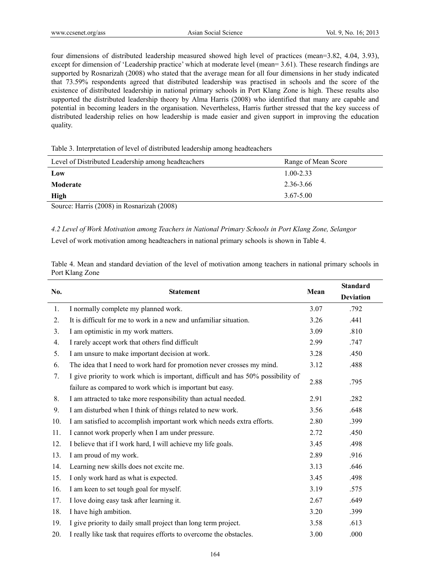four dimensions of distributed leadership measured showed high level of practices (mean=3.82, 4.04, 3.93), except for dimension of 'Leadership practice' which at moderate level (mean= 3.61). These research findings are supported by Rosnarizah (2008) who stated that the average mean for all four dimensions in her study indicated that 73.59% respondents agreed that distributed leadership was practised in schools and the score of the existence of distributed leadership in national primary schools in Port Klang Zone is high. These results also supported the distributed leadership theory by Alma Harris (2008) who identified that many are capable and potential in becoming leaders in the organisation. Nevertheless, Harris further stressed that the key success of distributed leadership relies on how leadership is made easier and given support in improving the education quality.

|  |  |  |  |  |  | Table 3. Interpretation of level of distributed leadership among headteachers |
|--|--|--|--|--|--|-------------------------------------------------------------------------------|
|--|--|--|--|--|--|-------------------------------------------------------------------------------|

| Level of Distributed Leadership among headteachers | Range of Mean Score |
|----------------------------------------------------|---------------------|
| Low                                                | $1.00 - 2.33$       |
| Moderate                                           | 2.36-3.66           |
| High                                               | $3.67 - 5.00$       |
| $\sim$<br>$(0.000)$ $\overline{D}$<br>(0.000)<br>T |                     |

Source: Harris (2008) in Rosnarizah (2008)

*4.2 Level of Work Motivation among Teachers in National Primary Schools in Port Klang Zone, Selangor*  Level of work motivation among headteachers in national primary schools is shown in Table 4.

Table 4. Mean and standard deviation of the level of motivation among teachers in national primary schools in Port Klang Zone

|     |                                                                                  |      | <b>Standard</b>  |
|-----|----------------------------------------------------------------------------------|------|------------------|
| No. | <b>Statement</b>                                                                 | Mean | <b>Deviation</b> |
| 1.  | I normally complete my planned work.                                             | 3.07 | .792             |
| 2.  | It is difficult for me to work in a new and unfamiliar situation.                | 3.26 | .441             |
| 3.  | I am optimistic in my work matters.                                              | 3.09 | .810             |
| 4.  | I rarely accept work that others find difficult                                  | 2.99 | .747             |
| 5.  | I am unsure to make important decision at work.                                  | 3.28 | .450             |
| 6.  | The idea that I need to work hard for promotion never crosses my mind.           | 3.12 | .488             |
| 7.  | I give priority to work which is important, difficult and has 50% possibility of | 2.88 | .795             |
|     | failure as compared to work which is important but easy.                         |      |                  |
| 8.  | I am attracted to take more responsibility than actual needed.                   | 2.91 | .282             |
| 9.  | I am disturbed when I think of things related to new work.                       | 3.56 | .648             |
| 10. | I am satisfied to accomplish important work which needs extra efforts.           | 2.80 | .399             |
| 11. | I cannot work properly when I am under pressure.                                 | 2.72 | .450             |
| 12. | I believe that if I work hard, I will achieve my life goals.                     | 3.45 | .498             |
| 13. | I am proud of my work.                                                           | 2.89 | .916             |
| 14. | Learning new skills does not excite me.                                          | 3.13 | .646             |
| 15. | I only work hard as what is expected.                                            | 3.45 | .498             |
| 16. | I am keen to set tough goal for myself.                                          | 3.19 | .575             |
| 17. | I love doing easy task after learning it.                                        | 2.67 | .649             |
| 18. | I have high ambition.                                                            | 3.20 | .399             |
| 19. | I give priority to daily small project than long term project.                   | 3.58 | .613             |
| 20. | I really like task that requires efforts to overcome the obstacles.              | 3.00 | .000             |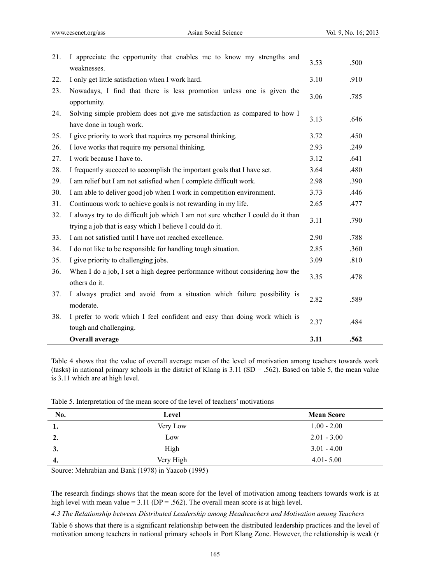| 21. | I appreciate the opportunity that enables me to know my strengths and<br>weaknesses.                                                        | 3.53 | .500 |
|-----|---------------------------------------------------------------------------------------------------------------------------------------------|------|------|
| 22. | I only get little satisfaction when I work hard.                                                                                            | 3.10 | .910 |
| 23. | Nowadays, I find that there is less promotion unless one is given the<br>opportunity.                                                       | 3.06 | .785 |
| 24. | Solving simple problem does not give me satisfaction as compared to how I<br>have done in tough work.                                       | 3.13 | .646 |
| 25. | I give priority to work that requires my personal thinking.                                                                                 | 3.72 | .450 |
| 26. | I love works that require my personal thinking.                                                                                             | 2.93 | .249 |
| 27. | I work because I have to.                                                                                                                   | 3.12 | .641 |
| 28. | I frequently succeed to accomplish the important goals that I have set.                                                                     | 3.64 | .480 |
| 29. | I am relief but I am not satisfied when I complete difficult work.                                                                          | 2.98 | .390 |
| 30. | I am able to deliver good job when I work in competition environment.                                                                       | 3.73 | .446 |
| 31. | Continuous work to achieve goals is not rewarding in my life.                                                                               | 2.65 | .477 |
| 32. | I always try to do difficult job which I am not sure whether I could do it than<br>trying a job that is easy which I believe I could do it. | 3.11 | .790 |
| 33. | I am not satisfied until I have not reached excellence.                                                                                     | 2.90 | .788 |
| 34. | I do not like to be responsible for handling tough situation.                                                                               | 2.85 | .360 |
| 35. | I give priority to challenging jobs.                                                                                                        | 3.09 | .810 |
| 36. | When I do a job, I set a high degree performance without considering how the<br>others do it.                                               | 3.35 | .478 |
| 37. | I always predict and avoid from a situation which failure possibility is<br>moderate.                                                       | 2.82 | .589 |
| 38. | I prefer to work which I feel confident and easy than doing work which is<br>tough and challenging.                                         | 2.37 | .484 |
|     | <b>Overall average</b>                                                                                                                      | 3.11 | .562 |

Table 4 shows that the value of overall average mean of the level of motivation among teachers towards work (tasks) in national primary schools in the district of Klang is  $3.11$  (SD = .562). Based on table 5, the mean value is 3.11 which are at high level.

| Table 5. Interpretation of the mean score of the level of teachers' motivations |  |
|---------------------------------------------------------------------------------|--|
|---------------------------------------------------------------------------------|--|

| No. | Level     | <b>Mean Score</b> |
|-----|-----------|-------------------|
| -1. | Very Low  | $1.00 - 2.00$     |
| 2.  | Low       | $2.01 - 3.00$     |
| 3.  | High      | $3.01 - 4.00$     |
| 4.  | Very High | $4.01 - 5.00$     |

Source: Mehrabian and Bank (1978) in Yaacob (1995)

The research findings shows that the mean score for the level of motivation among teachers towards work is at high level with mean value =  $3.11$  (DP = .562). The overall mean score is at high level.

### *4.3 The Relationship between Distributed Leadership among Headteachers and Motivation among Teachers*

Table 6 shows that there is a significant relationship between the distributed leadership practices and the level of motivation among teachers in national primary schools in Port Klang Zone. However, the relationship is weak (r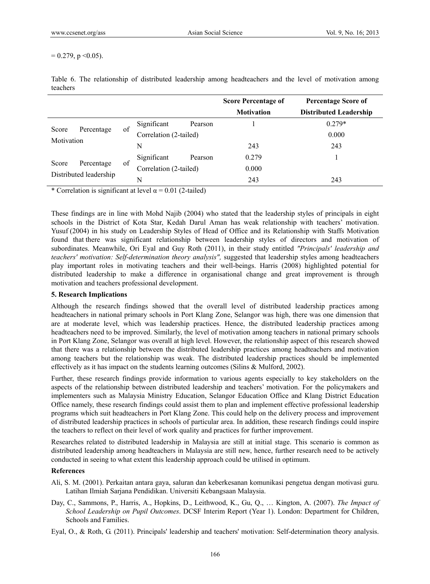### $= 0.279$ , p  $\leq 0.05$ ).

|            |                        | <b>Score Percentage of</b> | <b>Percentage Score of</b> |         |                   |                               |
|------------|------------------------|----------------------------|----------------------------|---------|-------------------|-------------------------------|
|            |                        |                            |                            |         | <b>Motivation</b> | <b>Distributed Leadership</b> |
|            | Percentage             | of                         | Significant                | Pearson |                   | $0.279*$                      |
| Score      |                        |                            | Correlation (2-tailed)     |         |                   | 0.000                         |
| Motivation |                        |                            | N                          |         | 243               | 243                           |
|            |                        | of                         | Significant                | Pearson | 0.279             |                               |
| Score      | Percentage             |                            | Correlation (2-tailed)     |         | 0.000             |                               |
|            | Distributed leadership |                            | N                          |         | 243               | 243                           |

Table 6. The relationship of distributed leadership among headteachers and the level of motivation among teachers

\* Correlation is significant at level  $\alpha$  = 0.01 (2-tailed)

These findings are in line with Mohd Najib (2004) who stated that the leadership styles of principals in eight schools in the District of Kota Star, Kedah Darul Aman has weak relationship with teachers' motivation. Yusuf (2004) in his study on Leadership Styles of Head of Office and its Relationship with Staffs Motivation found that there was significant relationship between leadership styles of directors and motivation of subordinates. Meanwhile, Ori Eyal and Guy Roth (2011), in their study entitled *"Principals' leadership and teachers' motivation: Self-determination theory analysis",* suggested that leadership styles among headteachers play important roles in motivating teachers and their well-beings. Harris (2008) highlighted potential for distributed leadership to make a difference in organisational change and great improvement is through motivation and teachers professional development.

#### **5. Research Implications**

Although the research findings showed that the overall level of distributed leadership practices among headteachers in national primary schools in Port Klang Zone, Selangor was high, there was one dimension that are at moderate level, which was leadership practices. Hence, the distributed leadership practices among headteachers need to be improved. Similarly, the level of motivation among teachers in national primary schools in Port Klang Zone, Selangor was overall at high level. However, the relationship aspect of this research showed that there was a relationship between the distributed leadership practices among headteachers and motivation among teachers but the relationship was weak. The distributed leadership practices should be implemented effectively as it has impact on the students learning outcomes (Silins & Mulford, 2002).

Further, these research findings provide information to various agents especially to key stakeholders on the aspects of the relationship between distributed leadership and teachers' motivation. For the policymakers and implementers such as Malaysia Ministry Education, Selangor Education Office and Klang District Education Office namely, these research findings could assist them to plan and implement effective professional leadership programs which suit headteachers in Port Klang Zone. This could help on the delivery process and improvement of distributed leadership practices in schools of particular area. In addition, these research findings could inspire the teachers to reflect on their level of work quality and practices for further improvement.

Researches related to distributed leadership in Malaysia are still at initial stage. This scenario is common as distributed leadership among headteachers in Malaysia are still new, hence, further research need to be actively conducted in seeing to what extent this leadership approach could be utilised in optimum.

#### **References**

- Ali, S. M. (2001). Perkaitan antara gaya, saluran dan keberkesanan komunikasi pengetua dengan motivasi guru. Latihan Ilmiah Sarjana Pendidikan. Universiti Kebangsaan Malaysia.
- Day, C., Sammons, P., Harris, A., Hopkins, D., Leithwood, K., Gu, Q., … Kington, A. (2007). *The Impact of School Leadership on Pupil Outcomes*. DCSF Interim Report (Year 1). London: Department for Children, Schools and Families.

Eyal, O., & Roth, G. (2011). Principals' leadership and teachers' motivation: Self-determination theory analysis.